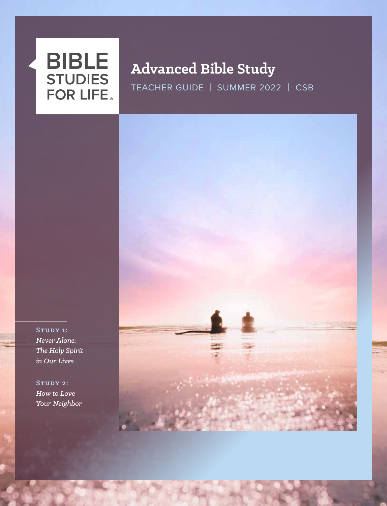

# **Advanced Bible Study**

TEACHER GUIDE | SUMMER 2022 | CSB



**Study 2:** *How to Love Your Neighbor*

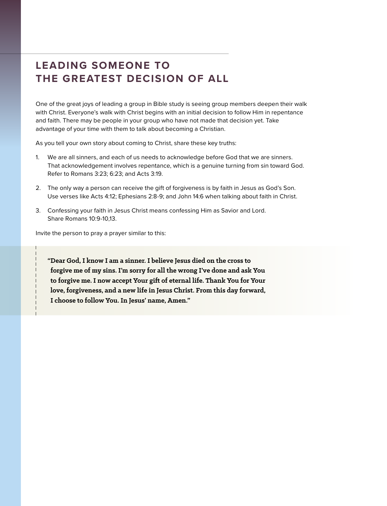# **LEADING SOMEONE TO THE GREATEST DECISION OF ALL**

One of the great joys of leading a group in Bible study is seeing group members deepen their walk with Christ. Everyone's walk with Christ begins with an initial decision to follow Him in repentance and faith. There may be people in your group who have not made that decision yet. Take advantage of your time with them to talk about becoming a Christian.

As you tell your own story about coming to Christ, share these key truths:

- 1. We are all sinners, and each of us needs to acknowledge before God that we are sinners. That acknowledgement involves repentance, which is a genuine turning from sin toward God. Refer to Romans 3:23; 6:23; and Acts 3:19.
- 2. The only way a person can receive the gift of forgiveness is by faith in Jesus as God's Son. Use verses like Acts 4:12; Ephesians 2:8-9; and John 14:6 when talking about faith in Christ.
- 3. Confessing your faith in Jesus Christ means confessing Him as Savior and Lord. Share Romans 10:9-10,13.

Invite the person to pray a prayer similar to this:

**"Dear God, I know I am a sinner. I believe Jesus died on the cross to forgive me of my sins. I'm sorry for all the wrong I've done and ask You to forgive me. I now accept Your gift of eternal life. Thank You for Your love, forgiveness, and a new life in Jesus Christ. From this day forward, I choose to follow You. In Jesus' name, Amen."**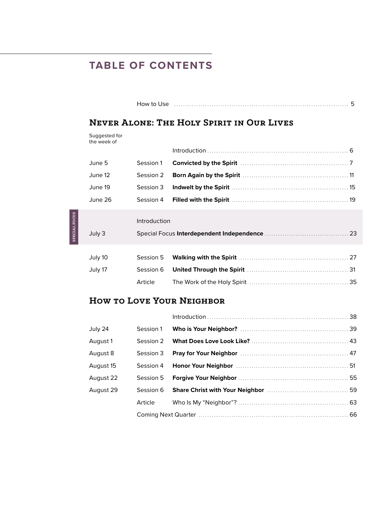# **TABLE OF CONTENTS**

|                      | <b>NEVER ALONE: THE HOLY SPIRIT IN OUR LIVES</b> |              |  |  |  |
|----------------------|--------------------------------------------------|--------------|--|--|--|
|                      | Suggested for<br>the week of                     |              |  |  |  |
|                      |                                                  |              |  |  |  |
|                      | June 5                                           | Session 1    |  |  |  |
|                      | June 12                                          | Session 2    |  |  |  |
|                      | June 19                                          | Session 3    |  |  |  |
|                      | June 26                                          | Session 4    |  |  |  |
| <b>SPECIAL FOCUS</b> |                                                  | Introduction |  |  |  |
|                      | July 3                                           |              |  |  |  |
|                      |                                                  |              |  |  |  |
|                      | July 10                                          | Session 5    |  |  |  |
|                      | July 17                                          | Session 6    |  |  |  |
|                      |                                                  | Article      |  |  |  |

How to Use . . . . . . . . . . . . . . . . . . . . . . . . . . . . . . . . . . . . . . . . . . . . . . . . . . . . . . . . . . . . . . . . . . . . . . . . . . . . . . 5

# **How to Love Your Neighbor**

|           |           | $Introduction \dots 38$ |  |
|-----------|-----------|-------------------------|--|
| July 24   | Session 1 |                         |  |
| August 1  | Session 2 |                         |  |
| August 8  |           |                         |  |
| August 15 |           |                         |  |
| August 22 |           |                         |  |
| August 29 |           |                         |  |
|           | Article   |                         |  |
|           |           |                         |  |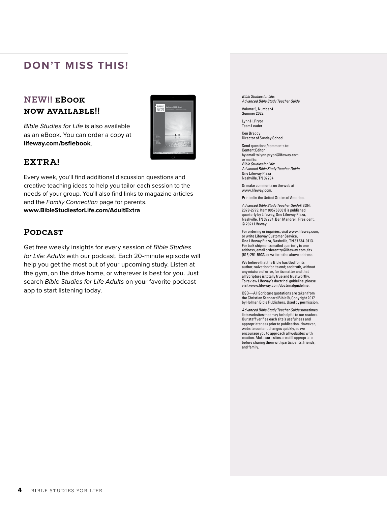# **DON'T MISS THIS!**

# **NEW!! eBook now available!!**

*Bible Studies for Life* is also available as an eBook. You can order a copy at **lifeway.com/bsflebook**.



#### **EXTRA!**

Every week, you'll find additional discussion questions and creative teaching ideas to help you tailor each session to the needs of your group. You'll also find links to magazine articles and the *Family Connection* page for parents. **www.BibleStudiesforLife.com/AdultExtra**

#### **Podcast**

Get free weekly insights for every session of *Bible Studies for Life: Adults* with our podcast. Each 20-minute episode will help you get the most out of your upcoming study. Listen at the gym, on the drive home, or wherever is best for you. Just search *Bible Studies for Life Adults* on your favorite podcast app to start listening today.

*Bible Studies for Life: Advanced Bible Study Teacher Guide*

Volume 9, Number 4 Summer 2022

Lynn H. Pryor Team Leader

Ken Braddy Director of Sunday School

Send questions/comments to: Content Editor by email to lynn.pryor@lifeway.com or mail to: *Bible Studies for Life: Advanced Bible Study Teacher Guide* One Lifeway Plaza Nashville, TN 37234

Or make comments on the web at www.lifeway.com.

Printed in the United States of America.

*Advanced Bible Study Teacher Guide* (ISSN: 2379-2779; Item 005768061) is published quarterly by Lifeway, One Lifeway Plaza, Nashville, TN 37234, Ben Mandrell, President. © 2021 Lifeway.

For ordering or inquiries, visit www.lifeway.com, or write Lifeway Customer Service, One Lifeway Plaza, Nashville, TN 37234-0113. For bulk shipments mailed quarterly to one address, email orderentry@lifeway.com, fax (615) 251-5933, or write to the above address.

We believe that the Bible has God for its author; salvation for its end; and truth, without any mixture of error, for its matter and that all Scripture is totally true and trustworthy. To review Lifeway's doctrinal guideline, please visit www.lifeway.com/doctrinalguideline.

CSB—All Scripture quotations are taken from the Christian Standard Bible®, Copyright 2017 by Holman Bible Publishers. Used by permission.

*Advanced Bible Study Teacher Guide* sometimes lists websites that may be helpful to our readers. Our staff verifies each site's usefulness and appropriateness prior to publication. However, website content changes quickly, so we encourage you to approach all websites with caution. Make sure sites are still appropriate before sharing them with participants, friends, and family.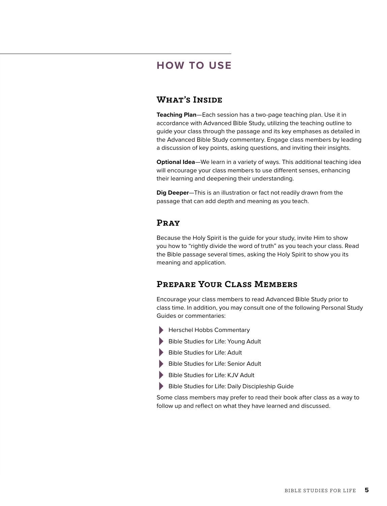# **HOW TO USE**

#### **What's Inside**

**Teaching Plan**—Each session has a two-page teaching plan. Use it in accordance with Advanced Bible Study, utilizing the teaching outline to guide your class through the passage and its key emphases as detailed in the Advanced Bible Study commentary. Engage class members by leading a discussion of key points, asking questions, and inviting their insights.

**Optional Idea**—We learn in a variety of ways. This additional teaching idea will encourage your class members to use different senses, enhancing their learning and deepening their understanding.

**Dig Deeper**—This is an illustration or fact not readily drawn from the passage that can add depth and meaning as you teach.

#### **Pray**

Because the Holy Spirit is the guide for your study, invite Him to show you how to "rightly divide the word of truth" as you teach your class. Read the Bible passage several times, asking the Holy Spirit to show you its meaning and application.

# **Prepare Your Class Members**

Encourage your class members to read Advanced Bible Study prior to class time. In addition, you may consult one of the following Personal Study Guides or commentaries:

- > Herschel Hobbs Commentary
- > Bible Studies for Life: Young Adult
- > Bible Studies for Life: Adult
- Bible Studies for Life: Senior Adult
- Bible Studies for Life: KJV Adult
- Bible Studies for Life: Daily Discipleship Guide

Some class members may prefer to read their book after class as a way to follow up and reflect on what they have learned and discussed.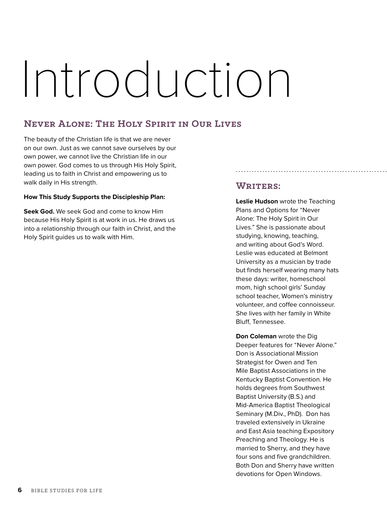# Introduction

# **Never Alone: The Holy Spirit in Our Lives**

The beauty of the Christian life is that we are never on our own. Just as we cannot save ourselves by our own power, we cannot live the Christian life in our own power. God comes to us through His Holy Spirit, leading us to faith in Christ and empowering us to walk daily in His strength.

#### **How This Study Supports the Discipleship Plan:**

**Seek God.** We seek God and come to know Him because His Holy Spirit is at work in us. He draws us into a relationship through our faith in Christ, and the Holy Spirit guides us to walk with Him.

# **Writers:**

**Leslie Hudson** wrote the Teaching Plans and Options for "Never Alone: The Holy Spirit in Our Lives." She is passionate about studying, knowing, teaching, and writing about God's Word. Leslie was educated at Belmont University as a musician by trade but finds herself wearing many hats these days: writer, homeschool mom, high school girls' Sunday school teacher, Women's ministry volunteer, and coffee connoisseur. She lives with her family in White Bluff, Tennessee.

**Don Coleman** wrote the Dig Deeper features for "Never Alone." Don is Associational Mission Strategist for Owen and Ten Mile Baptist Associations in the Kentucky Baptist Convention. He holds degrees from Southwest Baptist University (B.S.) and Mid-America Baptist Theological Seminary (M.Div., PhD). Don has traveled extensively in Ukraine and East Asia teaching Expository Preaching and Theology. He is married to Sherry, and they have four sons and five grandchildren. Both Don and Sherry have written devotions for Open Windows.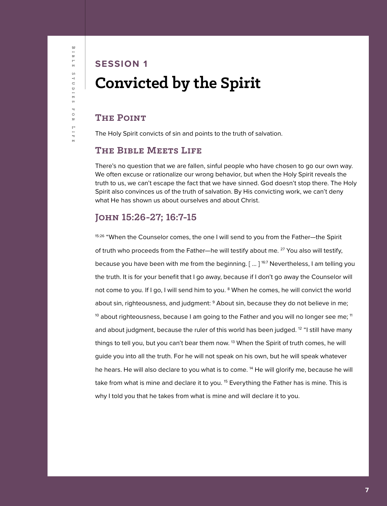# Bible Studies for Life  $\frac{1}{\alpha}$  $\overline{\phantom{0}}$  $H$  $S$ r u p i E S 4  $\circ$  $\uppi$  $I I I$

 $\overline{u}$ 

# **SESSION 1 Convicted by the Spirit**

# **The Point**

The Holy Spirit convicts of sin and points to the truth of salvation.

# **The Bible Meets Life**

There's no question that we are fallen, sinful people who have chosen to go our own way. We often excuse or rationalize our wrong behavior, but when the Holy Spirit reveals the truth to us, we can't escape the fact that we have sinned. God doesn't stop there. The Holy Spirit also convinces us of the truth of salvation. By His convicting work, we can't deny what He has shown us about ourselves and about Christ.

# **John 15:26-27; 16:7-15**

15:26 "When the Counselor comes, the one I will send to you from the Father—the Spirit of truth who proceeds from the Father—he will testify about me. 27 You also will testify, because you have been with me from the beginning.  $[$  ...  $]$ <sup>16.7</sup> Nevertheless, I am telling you the truth. It is for your benefit that I go away, because if I don't go away the Counselor will not come to you. If I go, I will send him to you. <sup>8</sup> When he comes, he will convict the world about sin, righteousness, and judgment:  $9$  About sin, because they do not believe in me;  $10$  about righteousness, because I am going to the Father and you will no longer see me;  $11$ and about judgment, because the ruler of this world has been judged. <sup>12</sup> "I still have many things to tell you, but you can't bear them now. <sup>13</sup> When the Spirit of truth comes, he will guide you into all the truth. For he will not speak on his own, but he will speak whatever he hears. He will also declare to you what is to come. <sup>14</sup> He will glorify me, because he will take from what is mine and declare it to you. <sup>15</sup> Everything the Father has is mine. This is why I told you that he takes from what is mine and will declare it to you.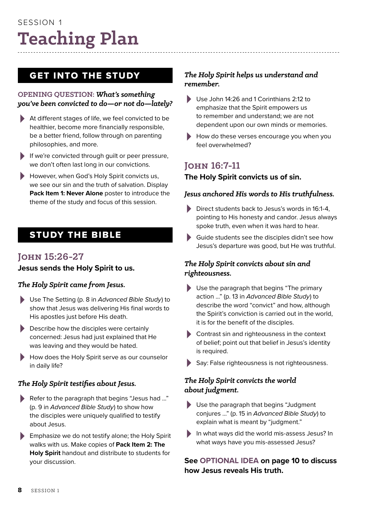# Session 1 **Teaching Plan**

# GET INTO THE STUDY

#### **OPENING QUESTION:** *What's something you've been convicted to do—or not do—lately?*

- > At different stages of life, we feel convicted to be healthier, become more financially responsible, be a better friend, follow through on parenting philosophies, and more.
- > If we're convicted through guilt or peer pressure, we don't often last long in our convictions.
- > However, when God's Holy Spirit convicts us, we see our sin and the truth of salvation. Display **Pack Item 1: Never Alone** poster to introduce the theme of the study and focus of this session.

# STUDY THE BIBLE

# **John 15:26-27**

## **Jesus sends the Holy Spirit to us.**

## *The Holy Spirit came from Jesus.*

- > Use The Setting (p. 8 in *Advanced Bible Study*) to show that Jesus was delivering His final words to His apostles just before His death.
- Describe how the disciples were certainly concerned: Jesus had just explained that He was leaving and they would be hated.
- > How does the Holy Spirit serve as our counselor in daily life?

## *The Holy Spirit testifies about Jesus.*

- Refer to the paragraph that begins "Jesus had ..." (p. 9 in *Advanced Bible Study*) to show how the disciples were uniquely qualified to testify about Jesus.
- Emphasize we do not testify alone; the Holy Spirit walks with us. Make copies of **Pack Item 2: The Holy Spirit** handout and distribute to students for your discussion.

# *The Holy Spirit helps us understand and remember.*

- > Use John 14:26 and 1 Corinthians 2:12 to emphasize that the Spirit empowers us to remember and understand; we are not dependent upon our own minds or memories.
- How do these verses encourage you when you feel overwhelmed?

# **John 16:7-11 The Holy Spirit convicts us of sin.**

#### *Jesus anchored His words to His truthfulness.*

- Direct students back to Jesus's words in 16:1-4, pointing to His honesty and candor. Jesus always spoke truth, even when it was hard to hear.
- > Guide students see the disciples didn't see how Jesus's departure was good, but He was truthful.

## *The Holy Spirit convicts about sin and righteousness.*

- > Use the paragraph that begins "The primary action ..." (p. 13 in *Advanced Bible Study*) to describe the word "convict" and how, although the Spirit's conviction is carried out in the world, it is for the benefit of the disciples.
- > Contrast sin and righteousness in the context of belief; point out that belief in Jesus's identity is required.
- > Say: False righteousness is not righteousness.

#### *The Holy Spirit convicts the world about judgment.*

- > Use the paragraph that begins "Judgment conjures ..." (p. 15 in *Advanced Bible Study*) to explain what is meant by "judgment."
- In what ways did the world mis-assess Jesus? In what ways have you mis-assessed Jesus?

## **See OPTIONAL IDEA on page 10 to discuss how Jesus reveals His truth.**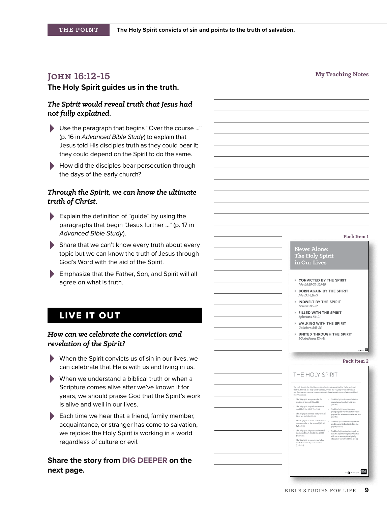# **My Teaching Notes My Teaching Notes**

#### **The Holy Spirit guides us in the truth.**

#### *The Spirit would reveal truth that Jesus had not fully explained.*

- > Use the paragraph that begins "Over the course ..." (p. 16 in *Advanced Bible Study*) to explain that Jesus told His disciples truth as they could bear it; they could depend on the Spirit to do the same.
- How did the disciples bear persecution through the days of the early church?

#### *Through the Spirit, we can know the ultimate truth of Christ.*

- > Explain the definition of "guide" by using the paragraphs that begin "Jesus further ..." (p. 17 in *Advanced Bible Study*).
- > Share that we can't know every truth about every topic but we can know the truth of Jesus through God's Word with the aid of the Spirit.
- > Emphasize that the Father, Son, and Spirit will all agree on what is truth.

# LIVE IT OUT

#### *How can we celebrate the conviction and revelation of the Spirit?*

- > When the Spirit convicts us of sin in our lives, we can celebrate that He is with us and living in us.
- > When we understand a biblical truth or when a Scripture comes alive after we've known it for years, we should praise God that the Spirit's work is alive and well in our lives.
- Each time we hear that a friend, family member, acquaintance, or stranger has come to salvation, we rejoice: the Holy Spirit is working in a world regardless of culture or evil.

#### **Share the story from DIG DEEPER on the next page.**

| Pack Item 1                                                                                                                                                                                                                                                                                   |
|-----------------------------------------------------------------------------------------------------------------------------------------------------------------------------------------------------------------------------------------------------------------------------------------------|
| Never Alone:                                                                                                                                                                                                                                                                                  |
| The Holy Spirit<br>in Our Lives                                                                                                                                                                                                                                                               |
| CONVICTED BY THE SPIRIT                                                                                                                                                                                                                                                                       |
| John 15:26-27; 16:7-15<br><b>BORN AGAIN BY THE SPIRIT</b><br>John 3:1-8,14-17                                                                                                                                                                                                                 |
| <b>INDWELT BY THE SPIRIT</b><br>Romans 8:9-17                                                                                                                                                                                                                                                 |
| FILLED WITH THE SPIRIT<br>Ephesians 5:8-21                                                                                                                                                                                                                                                    |
| <b>&gt; WALKING WITH THE SPIRIT</b><br>Galatians 5:16-25                                                                                                                                                                                                                                      |
| <b>INITED THROUGH THE SPIRIT</b><br>1 Corinthians 12:4-14                                                                                                                                                                                                                                     |
| -•—⊞                                                                                                                                                                                                                                                                                          |
| Pack Item 2                                                                                                                                                                                                                                                                                   |
| THE HOLY SPIRIT                                                                                                                                                                                                                                                                               |
| The Holy Spirit is the third Person of the Trinity, alongside God the Father and God<br>the Son. Through the Holy Spirit, God acts, reveals His will, empo<br>es individuals.<br>and discloses His personal presence. We read about the Holy Spirit in both the Old and<br>New Testaments.    |
| - The Holy Spirit was present for the<br>· The Holy Spirit cultivates Christian<br>creation of the world (Gen. 12).<br>character and comforts believers<br>(114, 112)                                                                                                                         |
| the Bible (2 Pet. 121; 2 Tim. 336).<br>. The Holy Spirit is our Counselor,<br>giving us godly wisdom so that we are<br>The Holy Spirit convicts each person of<br>repared for whatever situation we face<br>his or her sin (John 167-18).<br>(5a, 112)                                        |
| The Holy Spirit indwells each Christian<br>. The Holy Spirit gives us the pow<br>nt he or she is saved (Gal. 4:6;<br>due :<br>need to serve the Lord and share the<br>Tph. 113-141<br>gospel (Acts 1/6).<br>The Holy Spirit helps us to understand<br>* The Holy Spirit equips the church for |
| the truth of God's Word (LCor. 212-M).<br>ministry by bestowing each Christian<br>John 14:20)<br>with one or more spiritual gifts by<br>which they serve God (I Cor. 124-13).<br>. The Holy Spirit is our advocate before<br>the Father and helps us to resist sin<br>$0$ John 2.0.           |
|                                                                                                                                                                                                                                                                                               |
|                                                                                                                                                                                                                                                                                               |
|                                                                                                                                                                                                                                                                                               |